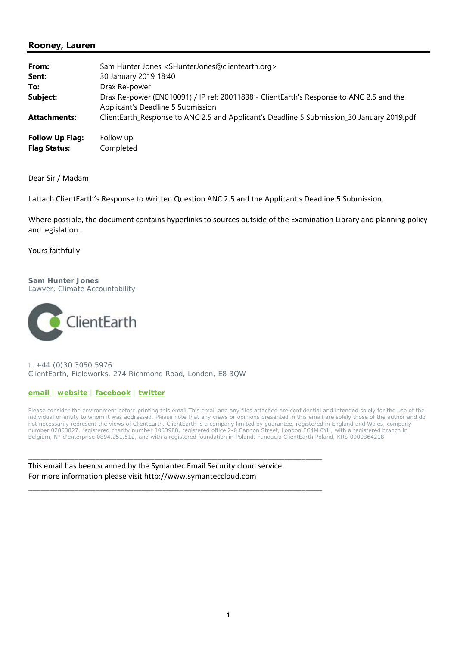## **Rooney, Lauren**

| From:<br>Sent:                                | Sam Hunter Jones <shunterjones@clientearth.org><br/>30 January 2019 18:40</shunterjones@clientearth.org>                     |
|-----------------------------------------------|------------------------------------------------------------------------------------------------------------------------------|
| To:                                           | Drax Re-power                                                                                                                |
| Subject:                                      | Drax Re-power (EN010091) / IP ref: 20011838 - ClientEarth's Response to ANC 2.5 and the<br>Applicant's Deadline 5 Submission |
| <b>Attachments:</b>                           | ClientEarth_Response to ANC 2.5 and Applicant's Deadline 5 Submission_30 January 2019.pdf                                    |
| <b>Follow Up Flag:</b><br><b>Flag Status:</b> | Follow up<br>Completed                                                                                                       |

Dear Sir / Madam

I attach ClientEarth's Response to Written Question ANC 2.5 and the Applicant's Deadline 5 Submission.

Where possible, the document contains hyperlinks to sources outside of the Examination Library and planning policy and legislation.

Yours faithfully

#### **Sam Hunter Jones** Lawyer, Climate Accountability



t. +44 (0)30 3050 5976 ClientEarth, Fieldworks, 274 Richmond Road, London, E8 3QW

#### **email** | **website** | **facebook** | **twitter**

Please consider the environment before printing this email.This email and any files attached are confidential and intended solely for the use of the individual or entity to whom it was addressed. Please note that any views or opinions presented in this email are solely those of the author and do not necessarily represent the views of ClientEarth. ClientEarth is a company limited by guarantee, registered in England and Wales, company number 02863827, registered charity number 1053988, registered office 2-6 Cannon Street, London EC4M 6YH, with a registered branch in Belgium, N° d'enterprise 0894.251.512, and with a registered foundation in Poland, Fundacja ClientEarth Poland, KRS 0000364218

This email has been scanned by the Symantec Email Security.cloud service. For more information please visit http://www.symanteccloud.com

\_\_\_\_\_\_\_\_\_\_\_\_\_\_\_\_\_\_\_\_\_\_\_\_\_\_\_\_\_\_\_\_\_\_\_\_\_\_\_\_\_\_\_\_\_\_\_\_\_\_\_\_\_\_\_\_\_\_\_\_\_\_\_\_\_\_\_\_\_\_

\_\_\_\_\_\_\_\_\_\_\_\_\_\_\_\_\_\_\_\_\_\_\_\_\_\_\_\_\_\_\_\_\_\_\_\_\_\_\_\_\_\_\_\_\_\_\_\_\_\_\_\_\_\_\_\_\_\_\_\_\_\_\_\_\_\_\_\_\_\_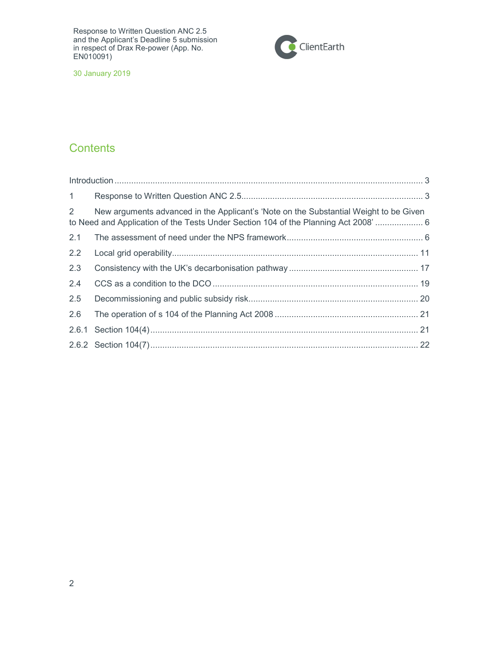

30 January 2019

# **Contents**

| 1           |                                                                                                                                                                           |  |
|-------------|---------------------------------------------------------------------------------------------------------------------------------------------------------------------------|--|
| $2^{\circ}$ | New arguments advanced in the Applicant's 'Note on the Substantial Weight to be Given<br>to Need and Application of the Tests Under Section 104 of the Planning Act 2008' |  |
| 2.1         |                                                                                                                                                                           |  |
| 2.2         |                                                                                                                                                                           |  |
| 2.3         |                                                                                                                                                                           |  |
| 2.4         |                                                                                                                                                                           |  |
| 2.5         |                                                                                                                                                                           |  |
| 2.6         |                                                                                                                                                                           |  |
|             |                                                                                                                                                                           |  |
|             |                                                                                                                                                                           |  |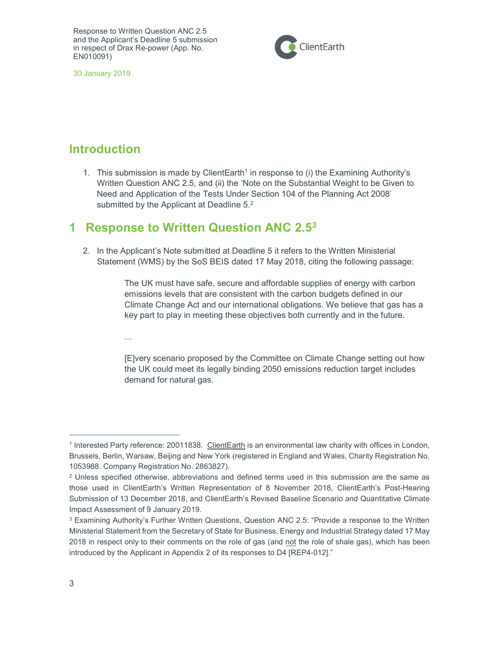

30 January 2019

# Introduction

1. This submission is made by ClientEarth<sup>1</sup> in response to (i) the Examining Authority's Written Question ANC 2.5, and (ii) the 'Note on the Substantial Weight to be Given to Need and Application of the Tests Under Section 104 of the Planning Act 2008' submitted by the Applicant at Deadline  $5<sup>2</sup>$ 

## 1 Response to Written Question ANC 2.5<sup>3</sup>

2. In the Applicant's Note submitted at Deadline 5 it refers to the Written Ministerial Statement (WMS) by the SoS BEIS dated 17 May 2018, citing the following passage:

> The UK must have safe, secure and affordable supplies of energy with carbon emissions levels that are consistent with the carbon budgets defined in our Climate Change Act and our international obligations. We believe that gas has a key part to play in meeting these objectives both currently and in the future.

...

[E]very scenario proposed by the Committee on Climate Change setting out how the UK could meet its legally binding 2050 emissions reduction target includes demand for natural gas.

<sup>&</sup>lt;sup>1</sup> Interested Party reference: 20011838. ClientEarth is an environmental law charity with offices in London, Brussels, Berlin, Warsaw, Beijing and New York (registered in England and Wales, Charity Registration No. 1053988. Company Registration No. 2863827).

<sup>2</sup> Unless specified otherwise, abbreviations and defined terms used in this submission are the same as those used in ClientEarth's Written Representation of 8 November 2018, ClientEarth's Post-Hearing Submission of 13 December 2018, and ClientEarth's Revised Baseline Scenario and Quantitative Climate Impact Assessment of 9 January 2019.

 $^3$  Examining Authority's Further Written Questions, Question ANC 2.5: "Provide a response to the Written Ministerial Statement from the Secretary of State for Business, Energy and Industrial Strategy dated 17 May 2018 in respect only to their comments on the role of gas (and not the role of shale gas), which has been introduced by the Applicant in Appendix 2 of its responses to D4 [REP4-012]."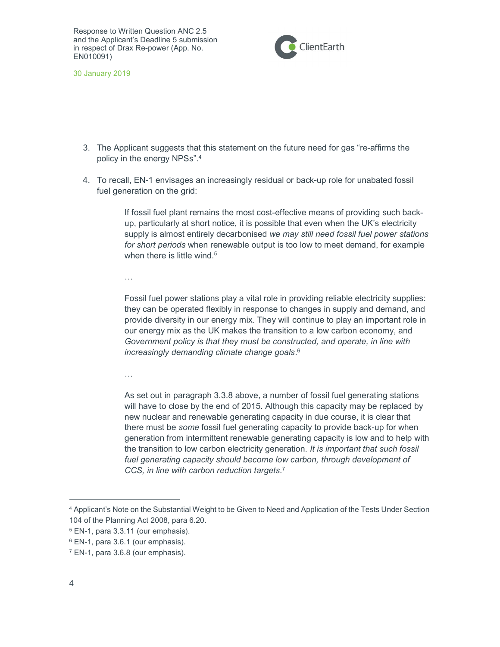

30 January 2019

- 3. The Applicant suggests that this statement on the future need for gas "re-affirms the policy in the energy NPSs".<sup>4</sup>
- 4. To recall, EN-1 envisages an increasingly residual or back-up role for unabated fossil fuel generation on the grid:

If fossil fuel plant remains the most cost-effective means of providing such backup, particularly at short notice, it is possible that even when the UK's electricity supply is almost entirely decarbonised we may still need fossil fuel power stations for short periods when renewable output is too low to meet demand, for example when there is little wind.<sup>5</sup>

…

Fossil fuel power stations play a vital role in providing reliable electricity supplies: they can be operated flexibly in response to changes in supply and demand, and provide diversity in our energy mix. They will continue to play an important role in our energy mix as the UK makes the transition to a low carbon economy, and Government policy is that they must be constructed, and operate, in line with increasingly demanding climate change goals. 6

…

As set out in paragraph 3.3.8 above, a number of fossil fuel generating stations will have to close by the end of 2015. Although this capacity may be replaced by new nuclear and renewable generating capacity in due course, it is clear that there must be *some* fossil fuel generating capacity to provide back-up for when generation from intermittent renewable generating capacity is low and to help with the transition to low carbon electricity generation. It is important that such fossil fuel generating capacity should become low carbon, through development of CCS, in line with carbon reduction targets. 7

<sup>4</sup> Applicant's Note on the Substantial Weight to be Given to Need and Application of the Tests Under Section 104 of the Planning Act 2008, para 6.20.

<sup>5</sup> EN-1, para 3.3.11 (our emphasis).

<sup>6</sup> EN-1, para 3.6.1 (our emphasis).

<sup>&</sup>lt;sup>7</sup> EN-1, para 3.6.8 (our emphasis).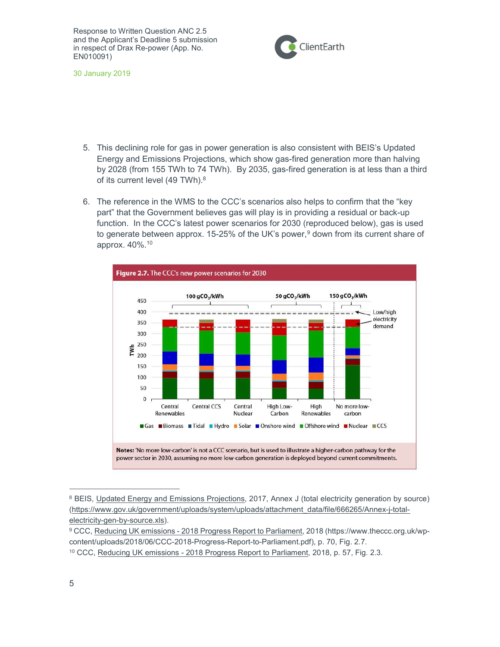

30 January 2019

- 5. This declining role for gas in power generation is also consistent with BEIS's Updated Energy and Emissions Projections, which show gas-fired generation more than halving by 2028 (from 155 TWh to 74 TWh). By 2035, gas-fired generation is at less than a third of its current level (49 TWh).<sup>8</sup>
- 6. The reference in the WMS to the CCC's scenarios also helps to confirm that the "key part" that the Government believes gas will play is in providing a residual or back-up function. In the CCC's latest power scenarios for 2030 (reproduced below), gas is used to generate between approx. 15-25% of the UK's power,<sup>9</sup> down from its current share of approx. 40%.<sup>10</sup>



<sup>&</sup>lt;sup>8</sup> BEIS, Updated Energy and Emissions Projections, 2017, Annex J (total electricity generation by source) (https://www.gov.uk/government/uploads/system/uploads/attachment\_data/file/666265/Annex-j-totalelectricity-gen-by-source.xls).

<sup>9</sup> CCC, Reducing UK emissions - 2018 Progress Report to Parliament, 2018 (https://www.theccc.org.uk/wpcontent/uploads/2018/06/CCC-2018-Progress-Report-to-Parliament.pdf), p. 70, Fig. 2.7. 10 CCC, Reducing UK emissions - 2018 Progress Report to Parliament, 2018, p. 57, Fig. 2.3.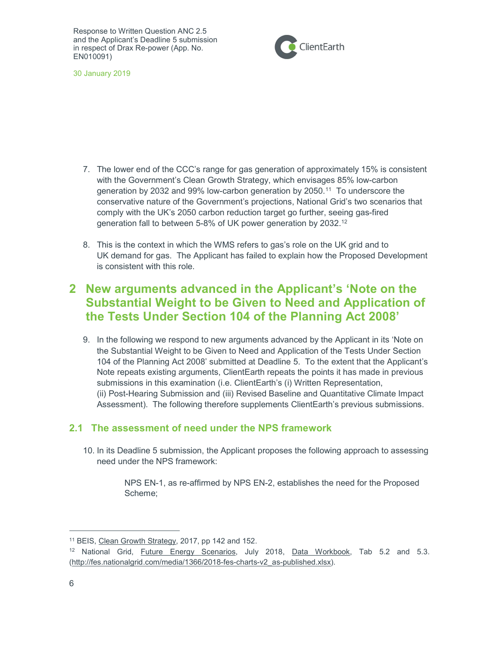

30 January 2019

- 7. The lower end of the CCC's range for gas generation of approximately 15% is consistent with the Government's Clean Growth Strategy, which envisages 85% low-carbon generation by 2032 and 99% low-carbon generation by 2050.<sup>11</sup> To underscore the conservative nature of the Government's projections, National Grid's two scenarios that comply with the UK's 2050 carbon reduction target go further, seeing gas-fired generation fall to between 5-8% of UK power generation by 2032.<sup>12</sup>
- 8. This is the context in which the WMS refers to gas's role on the UK grid and to UK demand for gas. The Applicant has failed to explain how the Proposed Development is consistent with this role.

# 2 New arguments advanced in the Applicant's 'Note on the Substantial Weight to be Given to Need and Application of the Tests Under Section 104 of the Planning Act 2008'

9. In the following we respond to new arguments advanced by the Applicant in its 'Note on the Substantial Weight to be Given to Need and Application of the Tests Under Section 104 of the Planning Act 2008' submitted at Deadline 5. To the extent that the Applicant's Note repeats existing arguments, ClientEarth repeats the points it has made in previous submissions in this examination (i.e. ClientEarth's (i) Written Representation, (ii) Post-Hearing Submission and (iii) Revised Baseline and Quantitative Climate Impact Assessment). The following therefore supplements ClientEarth's previous submissions.

## 2.1 The assessment of need under the NPS framework

10. In its Deadline 5 submission, the Applicant proposes the following approach to assessing need under the NPS framework:

> NPS EN-1, as re-affirmed by NPS EN-2, establishes the need for the Proposed Scheme;

<sup>11</sup> BEIS, Clean Growth Strategy, 2017, pp 142 and 152.

<sup>&</sup>lt;sup>12</sup> National Grid, *Future Energy Scenarios*, July 2018, Data Workbook, Tab 5.2 and 5.3. (http://fes.nationalgrid.com/media/1366/2018-fes-charts-v2\_as-published.xlsx).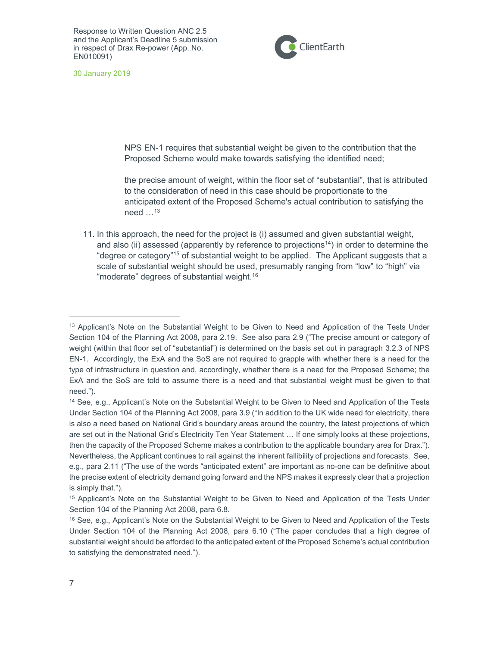

30 January 2019

NPS EN-1 requires that substantial weight be given to the contribution that the Proposed Scheme would make towards satisfying the identified need;

the precise amount of weight, within the floor set of "substantial", that is attributed to the consideration of need in this case should be proportionate to the anticipated extent of the Proposed Scheme's actual contribution to satisfying the need  $\dots^{13}$ 

11. In this approach, the need for the project is (i) assumed and given substantial weight, and also (ii) assessed (apparently by reference to projections<sup>14</sup>) in order to determine the "degree or category"<sup>15</sup> of substantial weight to be applied. The Applicant suggests that a scale of substantial weight should be used, presumably ranging from "low" to "high" via "moderate" degrees of substantial weight.<sup>16</sup>

<sup>&</sup>lt;sup>13</sup> Applicant's Note on the Substantial Weight to be Given to Need and Application of the Tests Under Section 104 of the Planning Act 2008, para 2.19. See also para 2.9 ("The precise amount or category of weight (within that floor set of "substantial") is determined on the basis set out in paragraph 3.2.3 of NPS EN-1. Accordingly, the ExA and the SoS are not required to grapple with whether there is a need for the type of infrastructure in question and, accordingly, whether there is a need for the Proposed Scheme; the ExA and the SoS are told to assume there is a need and that substantial weight must be given to that need.").

<sup>14</sup> See, e.g., Applicant's Note on the Substantial Weight to be Given to Need and Application of the Tests Under Section 104 of the Planning Act 2008, para 3.9 ("In addition to the UK wide need for electricity, there is also a need based on National Grid's boundary areas around the country, the latest projections of which are set out in the National Grid's Electricity Ten Year Statement … If one simply looks at these projections, then the capacity of the Proposed Scheme makes a contribution to the applicable boundary area for Drax."). Nevertheless, the Applicant continues to rail against the inherent fallibility of projections and forecasts. See, e.g., para 2.11 ("The use of the words "anticipated extent" are important as no-one can be definitive about the precise extent of electricity demand going forward and the NPS makes it expressly clear that a projection is simply that.").

<sup>15</sup> Applicant's Note on the Substantial Weight to be Given to Need and Application of the Tests Under Section 104 of the Planning Act 2008, para 6.8.

<sup>&</sup>lt;sup>16</sup> See, e.g., Applicant's Note on the Substantial Weight to be Given to Need and Application of the Tests Under Section 104 of the Planning Act 2008, para 6.10 ("The paper concludes that a high degree of substantial weight should be afforded to the anticipated extent of the Proposed Scheme's actual contribution to satisfying the demonstrated need.").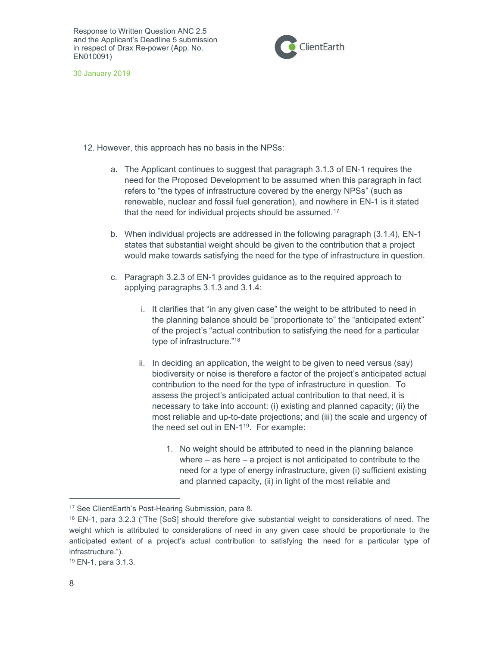

30 January 2019

12. However, this approach has no basis in the NPSs:

- a. The Applicant continues to suggest that paragraph 3.1.3 of EN-1 requires the need for the Proposed Development to be assumed when this paragraph in fact refers to "the types of infrastructure covered by the energy NPSs" (such as renewable, nuclear and fossil fuel generation), and nowhere in EN-1 is it stated that the need for individual projects should be assumed.<sup>17</sup>
- b. When individual projects are addressed in the following paragraph (3.1.4), EN-1 states that substantial weight should be given to the contribution that a project would make towards satisfying the need for the type of infrastructure in question.
- c. Paragraph 3.2.3 of EN-1 provides guidance as to the required approach to applying paragraphs 3.1.3 and 3.1.4:
	- i. It clarifies that "in any given case" the weight to be attributed to need in the planning balance should be "proportionate to" the "anticipated extent" of the project's "actual contribution to satisfying the need for a particular type of infrastructure."<sup>18</sup>
	- ii. In deciding an application, the weight to be given to need versus (say) biodiversity or noise is therefore a factor of the project's anticipated actual contribution to the need for the type of infrastructure in question. To assess the project's anticipated actual contribution to that need, it is necessary to take into account: (i) existing and planned capacity; (ii) the most reliable and up-to-date projections; and (iii) the scale and urgency of the need set out in EN-1<sup>19</sup>. For example:
		- 1. No weight should be attributed to need in the planning balance where – as here – a project is not anticipated to contribute to the need for a type of energy infrastructure, given (i) sufficient existing and planned capacity, (ii) in light of the most reliable and

<sup>17</sup> See ClientEarth's Post-Hearing Submission, para 8.

<sup>18</sup> EN-1, para 3.2.3 ("The [SoS] should therefore give substantial weight to considerations of need. The weight which is attributed to considerations of need in any given case should be proportionate to the anticipated extent of a project's actual contribution to satisfying the need for a particular type of infrastructure.").

<sup>19</sup> EN-1, para 3.1.3.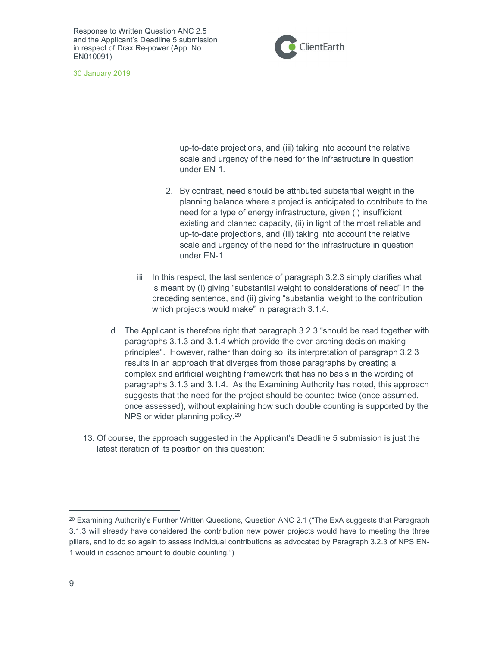

30 January 2019

up-to-date projections, and (iii) taking into account the relative scale and urgency of the need for the infrastructure in question under EN-1.

- 2. By contrast, need should be attributed substantial weight in the planning balance where a project is anticipated to contribute to the need for a type of energy infrastructure, given (i) insufficient existing and planned capacity, (ii) in light of the most reliable and up-to-date projections, and (iii) taking into account the relative scale and urgency of the need for the infrastructure in question under EN-1.
- iii. In this respect, the last sentence of paragraph 3.2.3 simply clarifies what is meant by (i) giving "substantial weight to considerations of need" in the preceding sentence, and (ii) giving "substantial weight to the contribution which projects would make" in paragraph 3.1.4.
- d. The Applicant is therefore right that paragraph 3.2.3 "should be read together with paragraphs 3.1.3 and 3.1.4 which provide the over-arching decision making principles". However, rather than doing so, its interpretation of paragraph 3.2.3 results in an approach that diverges from those paragraphs by creating a complex and artificial weighting framework that has no basis in the wording of paragraphs 3.1.3 and 3.1.4. As the Examining Authority has noted, this approach suggests that the need for the project should be counted twice (once assumed, once assessed), without explaining how such double counting is supported by the NPS or wider planning policy.<sup>20</sup>
- 13. Of course, the approach suggested in the Applicant's Deadline 5 submission is just the latest iteration of its position on this question:

<sup>&</sup>lt;sup>20</sup> Examining Authority's Further Written Questions, Question ANC 2.1 ("The ExA suggests that Paragraph 3.1.3 will already have considered the contribution new power projects would have to meeting the three pillars, and to do so again to assess individual contributions as advocated by Paragraph 3.2.3 of NPS EN-1 would in essence amount to double counting.")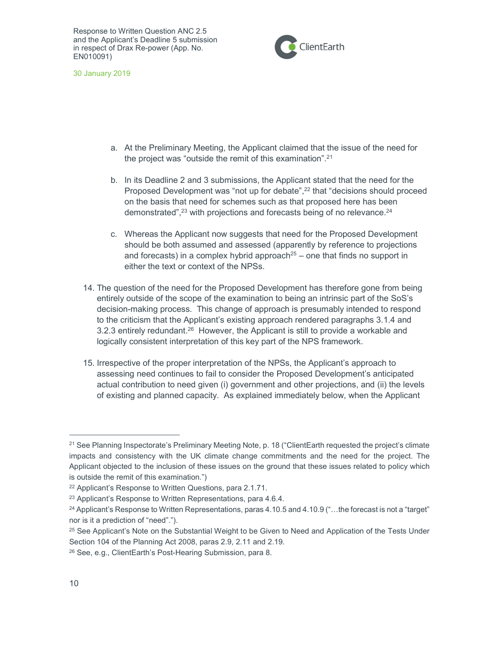

30 January 2019

- a. At the Preliminary Meeting, the Applicant claimed that the issue of the need for the project was "outside the remit of this examination".<sup>21</sup>
- b. In its Deadline 2 and 3 submissions, the Applicant stated that the need for the Proposed Development was "not up for debate",<sup>22</sup> that "decisions should proceed on the basis that need for schemes such as that proposed here has been demonstrated", $23$  with projections and forecasts being of no relevance. $24$
- c. Whereas the Applicant now suggests that need for the Proposed Development should be both assumed and assessed (apparently by reference to projections and forecasts) in a complex hybrid approach<sup>25</sup> – one that finds no support in either the text or context of the NPSs.
- 14. The question of the need for the Proposed Development has therefore gone from being entirely outside of the scope of the examination to being an intrinsic part of the SoS's decision-making process. This change of approach is presumably intended to respond to the criticism that the Applicant's existing approach rendered paragraphs 3.1.4 and 3.2.3 entirely redundant.<sup>26</sup> However, the Applicant is still to provide a workable and logically consistent interpretation of this key part of the NPS framework.
- 15. Irrespective of the proper interpretation of the NPSs, the Applicant's approach to assessing need continues to fail to consider the Proposed Development's anticipated actual contribution to need given (i) government and other projections, and (ii) the levels of existing and planned capacity. As explained immediately below, when the Applicant

<sup>&</sup>lt;sup>21</sup> See Planning Inspectorate's Preliminary Meeting Note, p. 18 ("ClientEarth requested the project's climate impacts and consistency with the UK climate change commitments and the need for the project. The Applicant objected to the inclusion of these issues on the ground that these issues related to policy which is outside the remit of this examination.")

<sup>22</sup> Applicant's Response to Written Questions, para 2.1.71.

<sup>23</sup> Applicant's Response to Written Representations, para 4.6.4.

<sup>24</sup> Applicant's Response to Written Representations, paras 4.10.5 and 4.10.9 ("…the forecast is not a "target" nor is it a prediction of "need".").

<sup>&</sup>lt;sup>25</sup> See Applicant's Note on the Substantial Weight to be Given to Need and Application of the Tests Under Section 104 of the Planning Act 2008, paras 2.9, 2.11 and 2.19.

<sup>26</sup> See, e.g., ClientEarth's Post-Hearing Submission, para 8.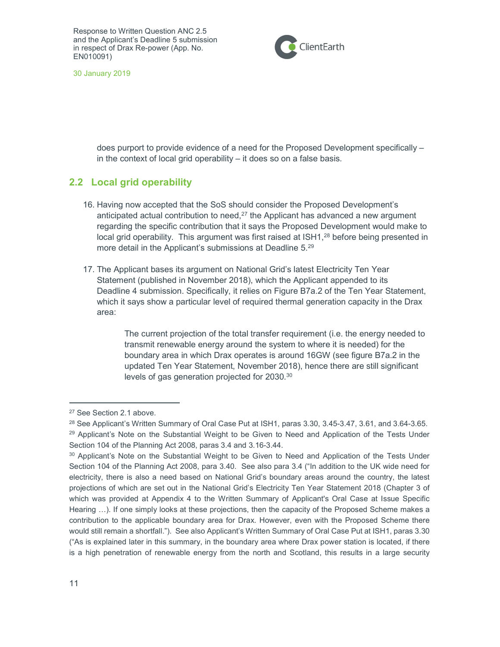

30 January 2019

does purport to provide evidence of a need for the Proposed Development specifically – in the context of local grid operability – it does so on a false basis.

## 2.2 Local grid operability

- 16. Having now accepted that the SoS should consider the Proposed Development's anticipated actual contribution to need, $27$  the Applicant has advanced a new argument regarding the specific contribution that it says the Proposed Development would make to local grid operability. This argument was first raised at ISH1,<sup>28</sup> before being presented in more detail in the Applicant's submissions at Deadline 5.<sup>29</sup>
- 17. The Applicant bases its argument on National Grid's latest Electricity Ten Year Statement (published in November 2018), which the Applicant appended to its Deadline 4 submission. Specifically, it relies on Figure B7a.2 of the Ten Year Statement, which it says show a particular level of required thermal generation capacity in the Drax area:

The current projection of the total transfer requirement (i.e. the energy needed to transmit renewable energy around the system to where it is needed) for the boundary area in which Drax operates is around 16GW (see figure B7a.2 in the updated Ten Year Statement, November 2018), hence there are still significant levels of gas generation projected for 2030.<sup>30</sup>

<sup>27</sup> See Section 2.1 above.

<sup>&</sup>lt;sup>28</sup> See Applicant's Written Summary of Oral Case Put at ISH1, paras 3.30, 3.45-3.47, 3.61, and 3.64-3.65. <sup>29</sup> Applicant's Note on the Substantial Weight to be Given to Need and Application of the Tests Under Section 104 of the Planning Act 2008, paras 3.4 and 3.16-3.44.

<sup>&</sup>lt;sup>30</sup> Applicant's Note on the Substantial Weight to be Given to Need and Application of the Tests Under Section 104 of the Planning Act 2008, para 3.40. See also para 3.4 ("In addition to the UK wide need for electricity, there is also a need based on National Grid's boundary areas around the country, the latest projections of which are set out in the National Grid's Electricity Ten Year Statement 2018 (Chapter 3 of which was provided at Appendix 4 to the Written Summary of Applicant's Oral Case at Issue Specific Hearing …). If one simply looks at these projections, then the capacity of the Proposed Scheme makes a contribution to the applicable boundary area for Drax. However, even with the Proposed Scheme there would still remain a shortfall."). See also Applicant's Written Summary of Oral Case Put at ISH1, paras 3.30 ("As is explained later in this summary, in the boundary area where Drax power station is located, if there is a high penetration of renewable energy from the north and Scotland, this results in a large security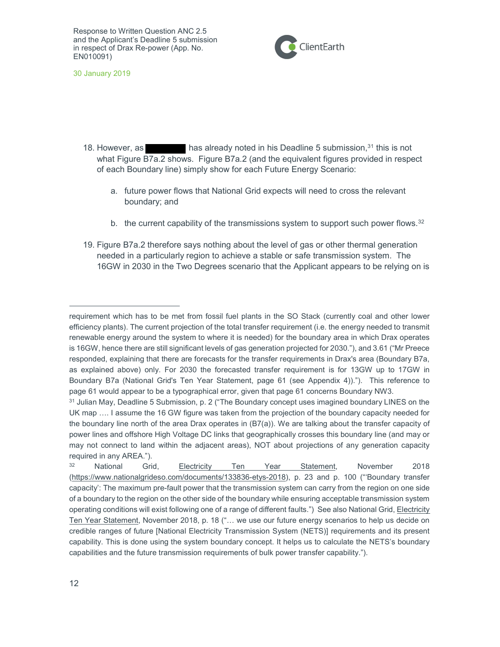

30 January 2019

- 18. However, as has already noted in his Deadline 5 submission,<sup>31</sup> this is not what Figure B7a.2 shows. Figure B7a.2 (and the equivalent figures provided in respect of each Boundary line) simply show for each Future Energy Scenario:
	- a. future power flows that National Grid expects will need to cross the relevant boundary; and
	- b. the current capability of the transmissions system to support such power flows. $32$
- 19. Figure B7a.2 therefore says nothing about the level of gas or other thermal generation needed in a particularly region to achieve a stable or safe transmission system. The 16GW in 2030 in the Two Degrees scenario that the Applicant appears to be relying on is

requirement which has to be met from fossil fuel plants in the SO Stack (currently coal and other lower efficiency plants). The current projection of the total transfer requirement (i.e. the energy needed to transmit renewable energy around the system to where it is needed) for the boundary area in which Drax operates is 16GW, hence there are still significant levels of gas generation projected for 2030."), and 3.61 ("Mr Preece responded, explaining that there are forecasts for the transfer requirements in Drax's area (Boundary B7a, as explained above) only. For 2030 the forecasted transfer requirement is for 13GW up to 17GW in Boundary B7a (National Grid's Ten Year Statement, page 61 (see Appendix 4))."). This reference to page 61 would appear to be a typographical error, given that page 61 concerns Boundary NW3.

<sup>31</sup> Julian May, Deadline 5 Submission, p. 2 ("The Boundary concept uses imagined boundary LINES on the UK map …. I assume the 16 GW figure was taken from the projection of the boundary capacity needed for the boundary line north of the area Drax operates in (B7(a)). We are talking about the transfer capacity of power lines and offshore High Voltage DC links that geographically crosses this boundary line (and may or may not connect to land within the adjacent areas), NOT about projections of any generation capacity required in any AREA.").

<sup>&</sup>lt;sup>32</sup> National Grid, Electricity Ten Year Statement, November 2018 (https://www.nationalgrideso.com/documents/133836-etys-2018), p. 23 and p. 100 ("'Boundary transfer capacity': The maximum pre-fault power that the transmission system can carry from the region on one side of a boundary to the region on the other side of the boundary while ensuring acceptable transmission system operating conditions will exist following one of a range of different faults.") See also National Grid, Electricity Ten Year Statement, November 2018, p. 18 ("... we use our future energy scenarios to help us decide on credible ranges of future [National Electricity Transmission System (NETS)] requirements and its present capability. This is done using the system boundary concept. It helps us to calculate the NETS's boundary capabilities and the future transmission requirements of bulk power transfer capability.").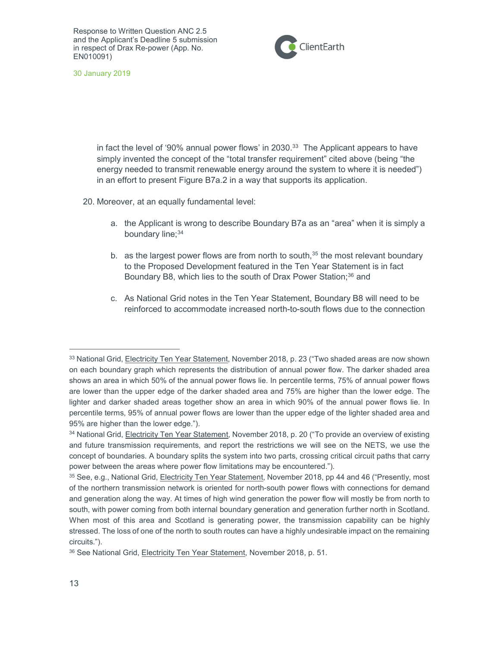

30 January 2019

in fact the level of '90% annual power flows' in 2030. $33$  The Applicant appears to have simply invented the concept of the "total transfer requirement" cited above (being "the energy needed to transmit renewable energy around the system to where it is needed") in an effort to present Figure B7a.2 in a way that supports its application.

20. Moreover, at an equally fundamental level:

- a. the Applicant is wrong to describe Boundary B7a as an "area" when it is simply a boundary line;<sup>34</sup>
- b. as the largest power flows are from north to south, $35$  the most relevant boundary to the Proposed Development featured in the Ten Year Statement is in fact Boundary B8, which lies to the south of Drax Power Station;<sup>36</sup> and
- c. As National Grid notes in the Ten Year Statement, Boundary B8 will need to be reinforced to accommodate increased north-to-south flows due to the connection

<sup>&</sup>lt;sup>33</sup> National Grid, *Electricity Ten Year Statement*, November 2018, p. 23 ("Two shaded areas are now shown on each boundary graph which represents the distribution of annual power flow. The darker shaded area shows an area in which 50% of the annual power flows lie. In percentile terms, 75% of annual power flows are lower than the upper edge of the darker shaded area and 75% are higher than the lower edge. The lighter and darker shaded areas together show an area in which 90% of the annual power flows lie. In percentile terms, 95% of annual power flows are lower than the upper edge of the lighter shaded area and 95% are higher than the lower edge.").

<sup>&</sup>lt;sup>34</sup> National Grid, Electricity Ten Year Statement, November 2018, p. 20 ("To provide an overview of existing and future transmission requirements, and report the restrictions we will see on the NETS, we use the concept of boundaries. A boundary splits the system into two parts, crossing critical circuit paths that carry power between the areas where power flow limitations may be encountered.").

<sup>35</sup> See, e.g., National Grid, Electricity Ten Year Statement, November 2018, pp 44 and 46 ("Presently, most of the northern transmission network is oriented for north-south power flows with connections for demand and generation along the way. At times of high wind generation the power flow will mostly be from north to south, with power coming from both internal boundary generation and generation further north in Scotland. When most of this area and Scotland is generating power, the transmission capability can be highly stressed. The loss of one of the north to south routes can have a highly undesirable impact on the remaining circuits.").

<sup>36</sup> See National Grid, Electricity Ten Year Statement, November 2018, p. 51.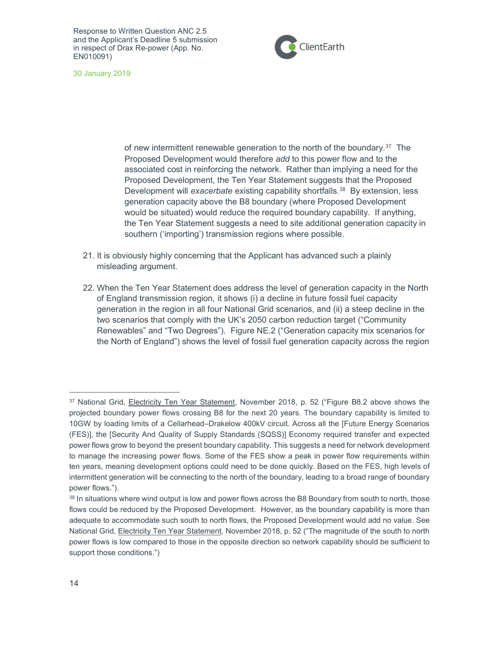

30 January 2019

of new intermittent renewable generation to the north of the boundary.<sup>37</sup> The Proposed Development would therefore add to this power flow and to the associated cost in reinforcing the network. Rather than implying a need for the Proposed Development, the Ten Year Statement suggests that the Proposed Development will exacerbate existing capability shortfalls.<sup>38</sup> By extension, less generation capacity above the B8 boundary (where Proposed Development would be situated) would reduce the required boundary capability. If anything, the Ten Year Statement suggests a need to site additional generation capacity in southern ('importing') transmission regions where possible.

- 21. It is obviously highly concerning that the Applicant has advanced such a plainly misleading argument.
- 22. When the Ten Year Statement does address the level of generation capacity in the North of England transmission region, it shows (i) a decline in future fossil fuel capacity generation in the region in all four National Grid scenarios, and (ii) a steep decline in the two scenarios that comply with the UK's 2050 carbon reduction target ("Community Renewables" and "Two Degrees"). Figure NE.2 ("Generation capacity mix scenarios for the North of England") shows the level of fossil fuel generation capacity across the region

<sup>37</sup> National Grid, Electricity Ten Year Statement, November 2018, p. 52 ("Figure B8.2 above shows the projected boundary power flows crossing B8 for the next 20 years. The boundary capability is limited to 10GW by loading limits of a Cellarhead–Drakelow 400kV circuit. Across all the [Future Energy Scenarios (FES)], the [Security And Quality of Supply Standards (SQSS)] Economy required transfer and expected power flows grow to beyond the present boundary capability. This suggests a need for network development to manage the increasing power flows. Some of the FES show a peak in power flow requirements within ten years, meaning development options could need to be done quickly. Based on the FES, high levels of intermittent generation will be connecting to the north of the boundary, leading to a broad range of boundary power flows.").

<sup>38</sup> In situations where wind output is low and power flows across the B8 Boundary from south to north, those flows could be reduced by the Proposed Development. However, as the boundary capability is more than adequate to accommodate such south to north flows, the Proposed Development would add no value. See National Grid, Electricity Ten Year Statement, November 2018, p. 52 ("The magnitude of the south to north power flows is low compared to those in the opposite direction so network capability should be sufficient to support those conditions.")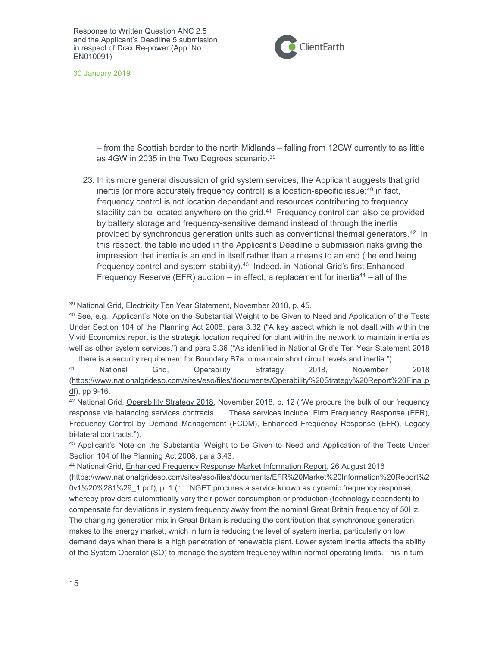

30 January 2019

– from the Scottish border to the north Midlands – falling from 12GW currently to as little as 4GW in 2035 in the Two Degrees scenario.<sup>39</sup>

23. In its more general discussion of grid system services, the Applicant suggests that grid inertia (or more accurately frequency control) is a location-specific issue;<sup>40</sup> in fact, frequency control is not location dependant and resources contributing to frequency stability can be located anywhere on the grid. $41$  Frequency control can also be provided by battery storage and frequency-sensitive demand instead of through the inertia provided by synchronous generation units such as conventional thermal generators.<sup>42</sup> In this respect, the table included in the Applicant's Deadline 5 submission risks giving the impression that inertia is an end in itself rather than a means to an end (the end being frequency control and system stability).<sup>43</sup> Indeed, in National Grid's first Enhanced Frequency Reserve (EFR) auction – in effect, a replacement for inertia<sup>44</sup> – all of the

<sup>41</sup> National Grid, Operability Strategy 2018, November 2018 (https://www.nationalgrideso.com/sites/eso/files/documents/Operability%20Strategy%20Report%20Final.p  $df$ ), pp 9-16.

<sup>39</sup> National Grid, Electricity Ten Year Statement, November 2018, p. 45.

<sup>40</sup> See, e.g., Applicant's Note on the Substantial Weight to be Given to Need and Application of the Tests Under Section 104 of the Planning Act 2008, para 3.32 ("A key aspect which is not dealt with within the Vivid Economics report is the strategic location required for plant within the network to maintain inertia as well as other system services.") and para 3.36 ("As identified in National Grid's Ten Year Statement 2018 … there is a security requirement for Boundary B7a to maintain short circuit levels and inertia.").

<sup>42</sup> National Grid, Operability Strategy 2018, November 2018, p. 12 ("We procure the bulk of our frequency response via balancing services contracts. … These services include: Firm Frequency Response (FFR), Frequency Control by Demand Management (FCDM), Enhanced Frequency Response (EFR), Legacy bi-lateral contracts.").

<sup>43</sup> Applicant's Note on the Substantial Weight to be Given to Need and Application of the Tests Under Section 104 of the Planning Act 2008, para 3.43.

<sup>44</sup> National Grid, Enhanced Frequency Response Market Information Report, 26 August 2016 (https://www.nationalgrideso.com/sites/eso/files/documents/EFR%20Market%20Information%20Report%2 0v1%20%281%29\_1.pdf), p. 1 ("… NGET procures a service known as dynamic frequency response, whereby providers automatically vary their power consumption or production (technology dependent) to compensate for deviations in system frequency away from the nominal Great Britain frequency of 50Hz. The changing generation mix in Great Britain is reducing the contribution that synchronous generation makes to the energy market, which in turn is reducing the level of system inertia, particularly on low demand days when there is a high penetration of renewable plant. Lower system inertia affects the ability of the System Operator (SO) to manage the system frequency within normal operating limits. This in turn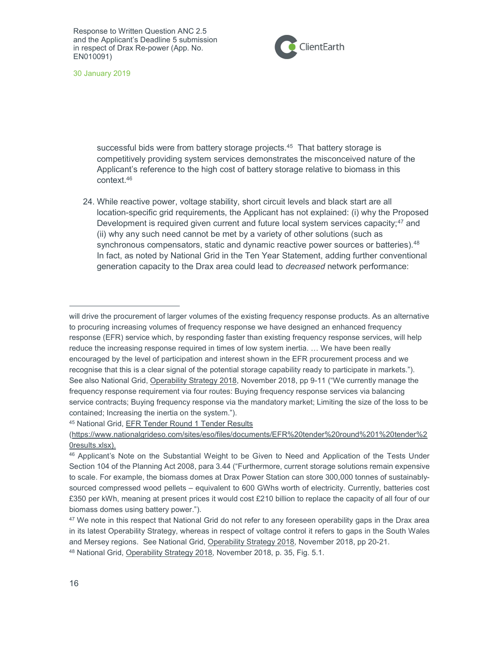

30 January 2019

successful bids were from battery storage projects.<sup>45</sup> That battery storage is competitively providing system services demonstrates the misconceived nature of the Applicant's reference to the high cost of battery storage relative to biomass in this context.<sup>46</sup>

24. While reactive power, voltage stability, short circuit levels and black start are all location-specific grid requirements, the Applicant has not explained: (i) why the Proposed Development is required given current and future local system services capacity;<sup>47</sup> and (ii) why any such need cannot be met by a variety of other solutions (such as synchronous compensators, static and dynamic reactive power sources or batteries). $48$ In fact, as noted by National Grid in the Ten Year Statement, adding further conventional generation capacity to the Drax area could lead to decreased network performance:

<sup>45</sup> National Grid, EFR Tender Round 1 Tender Results

will drive the procurement of larger volumes of the existing frequency response products. As an alternative to procuring increasing volumes of frequency response we have designed an enhanced frequency response (EFR) service which, by responding faster than existing frequency response services, will help reduce the increasing response required in times of low system inertia. … We have been really encouraged by the level of participation and interest shown in the EFR procurement process and we recognise that this is a clear signal of the potential storage capability ready to participate in markets."). See also National Grid, Operability Strategy 2018, November 2018, pp 9-11 ("We currently manage the frequency response requirement via four routes: Buying frequency response services via balancing service contracts; Buying frequency response via the mandatory market; Limiting the size of the loss to be contained; Increasing the inertia on the system.").

<sup>(</sup>https://www.nationalgrideso.com/sites/eso/files/documents/EFR%20tender%20round%201%20tender%2 0results.xlsx).

<sup>46</sup> Applicant's Note on the Substantial Weight to be Given to Need and Application of the Tests Under Section 104 of the Planning Act 2008, para 3.44 ("Furthermore, current storage solutions remain expensive to scale. For example, the biomass domes at Drax Power Station can store 300,000 tonnes of sustainablysourced compressed wood pellets – equivalent to 600 GWhs worth of electricity. Currently, batteries cost £350 per kWh, meaning at present prices it would cost £210 billion to replace the capacity of all four of our biomass domes using battery power.").

<sup>&</sup>lt;sup>47</sup> We note in this respect that National Grid do not refer to any foreseen operability gaps in the Drax area in its latest Operability Strategy, whereas in respect of voltage control it refers to gaps in the South Wales and Mersey regions. See National Grid, Operability Strategy 2018, November 2018, pp 20-21. 48 National Grid, Operability Strategy 2018, November 2018, p. 35, Fig. 5.1.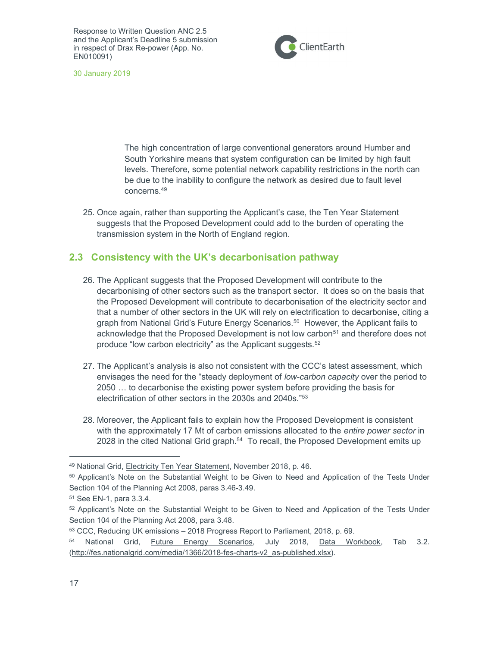

30 January 2019

The high concentration of large conventional generators around Humber and South Yorkshire means that system configuration can be limited by high fault levels. Therefore, some potential network capability restrictions in the north can be due to the inability to configure the network as desired due to fault level concerns.<sup>49</sup>

25. Once again, rather than supporting the Applicant's case, the Ten Year Statement suggests that the Proposed Development could add to the burden of operating the transmission system in the North of England region.

#### 2.3 Consistency with the UK's decarbonisation pathway

- 26. The Applicant suggests that the Proposed Development will contribute to the decarbonising of other sectors such as the transport sector. It does so on the basis that the Proposed Development will contribute to decarbonisation of the electricity sector and that a number of other sectors in the UK will rely on electrification to decarbonise, citing a graph from National Grid's Future Energy Scenarios.<sup>50</sup> However, the Applicant fails to acknowledge that the Proposed Development is not low carbon<sup>51</sup> and therefore does not produce "low carbon electricity" as the Applicant suggests.<sup>52</sup>
- 27. The Applicant's analysis is also not consistent with the CCC's latest assessment, which envisages the need for the "steady deployment of low-carbon capacity over the period to 2050 … to decarbonise the existing power system before providing the basis for electrification of other sectors in the 2030s and 2040s."<sup>53</sup>
- 28. Moreover, the Applicant fails to explain how the Proposed Development is consistent with the approximately 17 Mt of carbon emissions allocated to the entire power sector in 2028 in the cited National Grid graph.<sup>54</sup> To recall, the Proposed Development emits up

<sup>49</sup> National Grid, Electricity Ten Year Statement, November 2018, p. 46.

<sup>50</sup> Applicant's Note on the Substantial Weight to be Given to Need and Application of the Tests Under Section 104 of the Planning Act 2008, paras 3.46-3.49.

<sup>51</sup> See EN-1, para 3.3.4.

<sup>52</sup> Applicant's Note on the Substantial Weight to be Given to Need and Application of the Tests Under Section 104 of the Planning Act 2008, para 3.48.

<sup>53</sup> CCC, Reducing UK emissions – 2018 Progress Report to Parliament, 2018, p. 69.

National Grid, Future Energy Scenarios, July 2018, Data Workbook, Tab 3.2. (http://fes.nationalgrid.com/media/1366/2018-fes-charts-v2\_as-published.xlsx).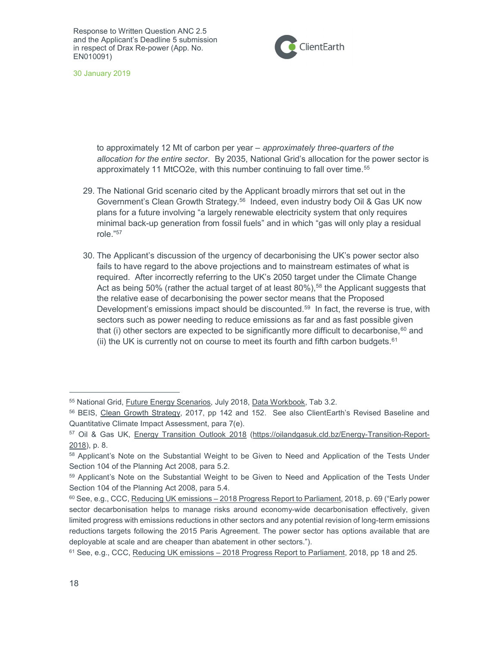

30 January 2019

to approximately 12 Mt of carbon per year – approximately three-quarters of the allocation for the entire sector. By 2035, National Grid's allocation for the power sector is approximately 11 MtCO2e, with this number continuing to fall over time.<sup>55</sup>

- 29. The National Grid scenario cited by the Applicant broadly mirrors that set out in the Government's Clean Growth Strategy.<sup>56</sup> Indeed, even industry body Oil & Gas UK now plans for a future involving "a largely renewable electricity system that only requires minimal back-up generation from fossil fuels" and in which "gas will only play a residual role."<sup>57</sup>
- 30. The Applicant's discussion of the urgency of decarbonising the UK's power sector also fails to have regard to the above projections and to mainstream estimates of what is required. After incorrectly referring to the UK's 2050 target under the Climate Change Act as being 50% (rather the actual target of at least  $80\%$ ),<sup>58</sup> the Applicant suggests that the relative ease of decarbonising the power sector means that the Proposed Development's emissions impact should be discounted.<sup>59</sup> In fact, the reverse is true, with sectors such as power needing to reduce emissions as far and as fast possible given that (i) other sectors are expected to be significantly more difficult to decarbonise, $60$  and (ii) the UK is currently not on course to meet its fourth and fifth carbon budgets. $61$

<sup>55</sup> National Grid, Future Energy Scenarios, July 2018, Data Workbook, Tab 3.2.

<sup>56</sup> BEIS, Clean Growth Strategy, 2017, pp 142 and 152. See also ClientEarth's Revised Baseline and Quantitative Climate Impact Assessment, para 7(e).

<sup>57</sup> Oil & Gas UK, Energy Transition Outlook 2018 (https://oilandgasuk.cld.bz/Energy-Transition-Report-2018), p. 8.

<sup>58</sup> Applicant's Note on the Substantial Weight to be Given to Need and Application of the Tests Under Section 104 of the Planning Act 2008, para 5.2.

<sup>59</sup> Applicant's Note on the Substantial Weight to be Given to Need and Application of the Tests Under Section 104 of the Planning Act 2008, para 5.4.

<sup>60</sup> See, e.g., CCC, Reducing UK emissions – 2018 Progress Report to Parliament, 2018, p. 69 ("Early power sector decarbonisation helps to manage risks around economy-wide decarbonisation effectively, given limited progress with emissions reductions in other sectors and any potential revision of long-term emissions reductions targets following the 2015 Paris Agreement. The power sector has options available that are deployable at scale and are cheaper than abatement in other sectors.").

<sup>61</sup> See, e.g., CCC, Reducing UK emissions – 2018 Progress Report to Parliament, 2018, pp 18 and 25.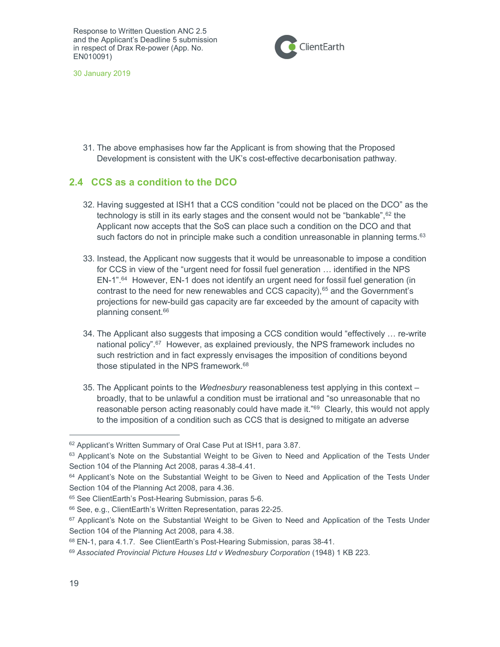

30 January 2019

31. The above emphasises how far the Applicant is from showing that the Proposed Development is consistent with the UK's cost-effective decarbonisation pathway.

## 2.4 CCS as a condition to the DCO

- 32. Having suggested at ISH1 that a CCS condition "could not be placed on the DCO" as the technology is still in its early stages and the consent would not be "bankable", 62 the Applicant now accepts that the SoS can place such a condition on the DCO and that such factors do not in principle make such a condition unreasonable in planning terms. $63$
- 33. Instead, the Applicant now suggests that it would be unreasonable to impose a condition for CCS in view of the "urgent need for fossil fuel generation … identified in the NPS EN-1".<sup>64</sup> However, EN-1 does not identify an urgent need for fossil fuel generation (in contrast to the need for new renewables and CCS capacity), $65$  and the Government's projections for new-build gas capacity are far exceeded by the amount of capacity with planning consent.<sup>66</sup>
- 34. The Applicant also suggests that imposing a CCS condition would "effectively … re-write national policy".<sup>67</sup> However, as explained previously, the NPS framework includes no such restriction and in fact expressly envisages the imposition of conditions beyond those stipulated in the NPS framework.<sup>68</sup>
- 35. The Applicant points to the Wednesbury reasonableness test applying in this context broadly, that to be unlawful a condition must be irrational and "so unreasonable that no reasonable person acting reasonably could have made it."<sup>69</sup> Clearly, this would not apply to the imposition of a condition such as CCS that is designed to mitigate an adverse

<sup>62</sup> Applicant's Written Summary of Oral Case Put at ISH1, para 3.87.

<sup>&</sup>lt;sup>63</sup> Applicant's Note on the Substantial Weight to be Given to Need and Application of the Tests Under Section 104 of the Planning Act 2008, paras 4.38-4.41.

<sup>&</sup>lt;sup>64</sup> Applicant's Note on the Substantial Weight to be Given to Need and Application of the Tests Under Section 104 of the Planning Act 2008, para 4.36.

<sup>65</sup> See ClientEarth's Post-Hearing Submission, paras 5-6.

<sup>66</sup> See, e.g., ClientEarth's Written Representation, paras 22-25.

<sup>&</sup>lt;sup>67</sup> Applicant's Note on the Substantial Weight to be Given to Need and Application of the Tests Under Section 104 of the Planning Act 2008, para 4.38.

<sup>68</sup> EN-1, para 4.1.7. See ClientEarth's Post-Hearing Submission, paras 38-41.

<sup>69</sup> Associated Provincial Picture Houses Ltd v Wednesbury Corporation (1948) 1 KB 223.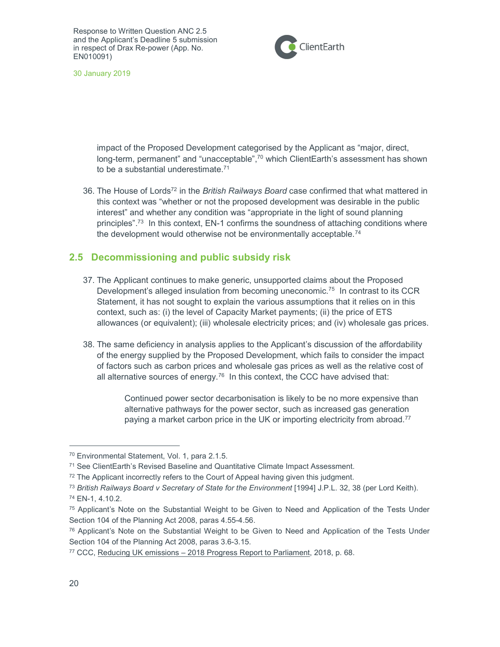

30 January 2019

impact of the Proposed Development categorised by the Applicant as "major, direct, long-term, permanent" and "unacceptable", $70$  which ClientEarth's assessment has shown to be a substantial underestimate.<sup>71</sup>

36. The House of Lords<sup>72</sup> in the British Railways Board case confirmed that what mattered in this context was "whether or not the proposed development was desirable in the public interest" and whether any condition was "appropriate in the light of sound planning principles".<sup>73</sup> In this context, EN-1 confirms the soundness of attaching conditions where the development would otherwise not be environmentally acceptable.<sup>74</sup>

#### 2.5 Decommissioning and public subsidy risk

- 37. The Applicant continues to make generic, unsupported claims about the Proposed Development's alleged insulation from becoming uneconomic.<sup>75</sup> In contrast to its CCR Statement, it has not sought to explain the various assumptions that it relies on in this context, such as: (i) the level of Capacity Market payments; (ii) the price of ETS allowances (or equivalent); (iii) wholesale electricity prices; and (iv) wholesale gas prices.
- 38. The same deficiency in analysis applies to the Applicant's discussion of the affordability of the energy supplied by the Proposed Development, which fails to consider the impact of factors such as carbon prices and wholesale gas prices as well as the relative cost of all alternative sources of energy.<sup>76</sup> In this context, the CCC have advised that:

Continued power sector decarbonisation is likely to be no more expensive than alternative pathways for the power sector, such as increased gas generation paying a market carbon price in the UK or importing electricity from abroad.<sup>77</sup>

<sup>70</sup> Environmental Statement, Vol. 1, para 2.1.5.

<sup>71</sup> See ClientEarth's Revised Baseline and Quantitative Climate Impact Assessment.

<sup>&</sup>lt;sup>72</sup> The Applicant incorrectly refers to the Court of Appeal having given this judgment.

<sup>&</sup>lt;sup>73</sup> British Railways Board v Secretary of State for the Environment [1994] J.P.L. 32, 38 (per Lord Keith).

<sup>74</sup> EN-1, 4.10.2.

<sup>75</sup> Applicant's Note on the Substantial Weight to be Given to Need and Application of the Tests Under Section 104 of the Planning Act 2008, paras 4.55-4.56.

<sup>76</sup> Applicant's Note on the Substantial Weight to be Given to Need and Application of the Tests Under Section 104 of the Planning Act 2008, paras 3.6-3.15.

<sup>77</sup> CCC, Reducing UK emissions – 2018 Progress Report to Parliament, 2018, p. 68.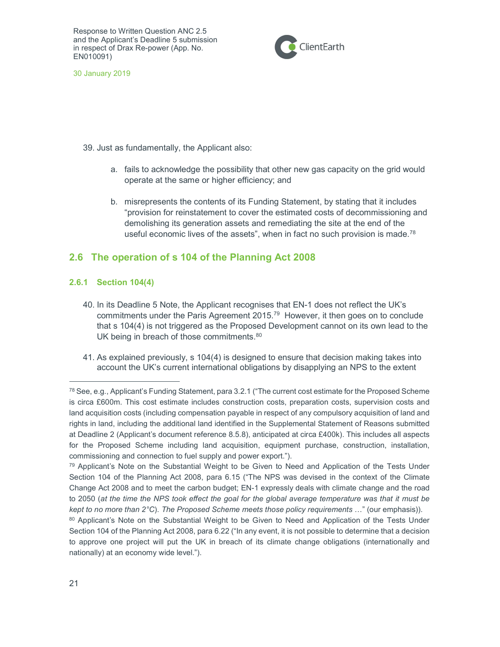

30 January 2019

- 39. Just as fundamentally, the Applicant also:
	- a. fails to acknowledge the possibility that other new gas capacity on the grid would operate at the same or higher efficiency; and
	- b. misrepresents the contents of its Funding Statement, by stating that it includes "provision for reinstatement to cover the estimated costs of decommissioning and demolishing its generation assets and remediating the site at the end of the useful economic lives of the assets", when in fact no such provision is made.<sup>78</sup>

## 2.6 The operation of s 104 of the Planning Act 2008

#### 2.6.1 Section 104(4)

- 40. In its Deadline 5 Note, the Applicant recognises that EN-1 does not reflect the UK's commitments under the Paris Agreement 2015.<sup>79</sup> However, it then goes on to conclude that s 104(4) is not triggered as the Proposed Development cannot on its own lead to the UK being in breach of those commitments.<sup>80</sup>
- 41. As explained previously, s 104(4) is designed to ensure that decision making takes into account the UK's current international obligations by disapplying an NPS to the extent

<sup>78</sup> See, e.g., Applicant's Funding Statement, para 3.2.1 ("The current cost estimate for the Proposed Scheme is circa £600m. This cost estimate includes construction costs, preparation costs, supervision costs and land acquisition costs (including compensation payable in respect of any compulsory acquisition of land and rights in land, including the additional land identified in the Supplemental Statement of Reasons submitted at Deadline 2 (Applicant's document reference 8.5.8), anticipated at circa £400k). This includes all aspects for the Proposed Scheme including land acquisition, equipment purchase, construction, installation, commissioning and connection to fuel supply and power export.").

<sup>&</sup>lt;sup>79</sup> Applicant's Note on the Substantial Weight to be Given to Need and Application of the Tests Under Section 104 of the Planning Act 2008, para 6.15 ("The NPS was devised in the context of the Climate Change Act 2008 and to meet the carbon budget; EN-1 expressly deals with climate change and the road to 2050 (at the time the NPS took effect the goal for the global average temperature was that it must be kept to no more than  $2^{\circ}$ C). The Proposed Scheme meets those policy requirements ..." (our emphasis)).

<sup>80</sup> Applicant's Note on the Substantial Weight to be Given to Need and Application of the Tests Under Section 104 of the Planning Act 2008, para 6.22 ("In any event, it is not possible to determine that a decision to approve one project will put the UK in breach of its climate change obligations (internationally and nationally) at an economy wide level.").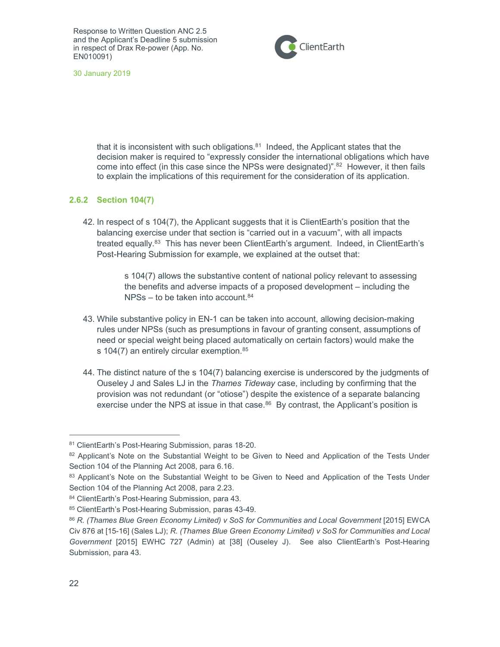

30 January 2019

that it is inconsistent with such obligations. $81$  Indeed, the Applicant states that the decision maker is required to "expressly consider the international obligations which have come into effect (in this case since the NPSs were designated)".<sup>82</sup> However, it then fails to explain the implications of this requirement for the consideration of its application.

#### 2.6.2 Section 104(7)

42. In respect of s 104(7), the Applicant suggests that it is ClientEarth's position that the balancing exercise under that section is "carried out in a vacuum", with all impacts treated equally.<sup>83</sup> This has never been ClientEarth's argument. Indeed, in ClientEarth's Post-Hearing Submission for example, we explained at the outset that:

> s 104(7) allows the substantive content of national policy relevant to assessing the benefits and adverse impacts of a proposed development – including the NPSs – to be taken into account.<sup>84</sup>

- 43. While substantive policy in EN-1 can be taken into account, allowing decision-making rules under NPSs (such as presumptions in favour of granting consent, assumptions of need or special weight being placed automatically on certain factors) would make the s 104(7) an entirely circular exemption.<sup>85</sup>
- 44. The distinct nature of the s 104(7) balancing exercise is underscored by the judgments of Ouseley J and Sales LJ in the Thames Tideway case, including by confirming that the provision was not redundant (or "otiose") despite the existence of a separate balancing exercise under the NPS at issue in that case.<sup>86</sup> By contrast, the Applicant's position is

<sup>81</sup> ClientEarth's Post-Hearing Submission, paras 18-20.

<sup>82</sup> Applicant's Note on the Substantial Weight to be Given to Need and Application of the Tests Under Section 104 of the Planning Act 2008, para 6.16.

<sup>83</sup> Applicant's Note on the Substantial Weight to be Given to Need and Application of the Tests Under Section 104 of the Planning Act 2008, para 2.23.

<sup>84</sup> ClientEarth's Post-Hearing Submission, para 43.

<sup>85</sup> ClientEarth's Post-Hearing Submission, paras 43-49.

<sup>86</sup> R. (Thames Blue Green Economy Limited) v SoS for Communities and Local Government [2015] EWCA Civ 876 at [15-16] (Sales LJ); R. (Thames Blue Green Economy Limited) v SoS for Communities and Local Government [2015] EWHC 727 (Admin) at [38] (Ouseley J). See also ClientEarth's Post-Hearing Submission, para 43.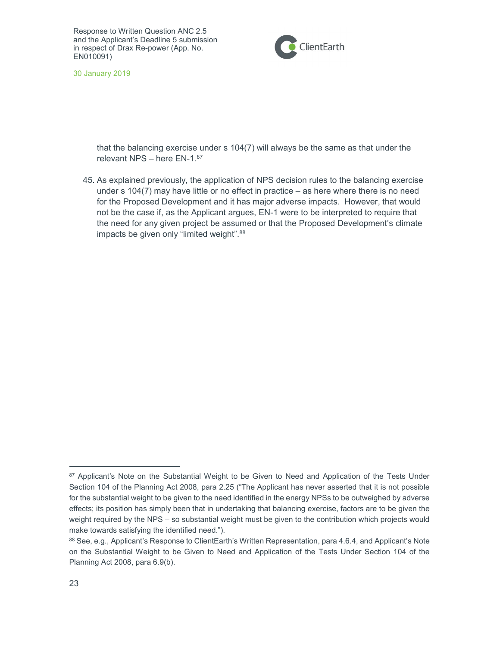

30 January 2019

that the balancing exercise under s 104(7) will always be the same as that under the relevant NPS – here EN-1.<sup>87</sup>

45. As explained previously, the application of NPS decision rules to the balancing exercise under s 104(7) may have little or no effect in practice – as here where there is no need for the Proposed Development and it has major adverse impacts. However, that would not be the case if, as the Applicant argues, EN-1 were to be interpreted to require that the need for any given project be assumed or that the Proposed Development's climate impacts be given only "limited weight". 88

<sup>&</sup>lt;sup>87</sup> Applicant's Note on the Substantial Weight to be Given to Need and Application of the Tests Under Section 104 of the Planning Act 2008, para 2.25 ("The Applicant has never asserted that it is not possible for the substantial weight to be given to the need identified in the energy NPSs to be outweighed by adverse effects; its position has simply been that in undertaking that balancing exercise, factors are to be given the weight required by the NPS – so substantial weight must be given to the contribution which projects would make towards satisfying the identified need.").

<sup>88</sup> See, e.g., Applicant's Response to ClientEarth's Written Representation, para 4.6.4, and Applicant's Note on the Substantial Weight to be Given to Need and Application of the Tests Under Section 104 of the Planning Act 2008, para 6.9(b).